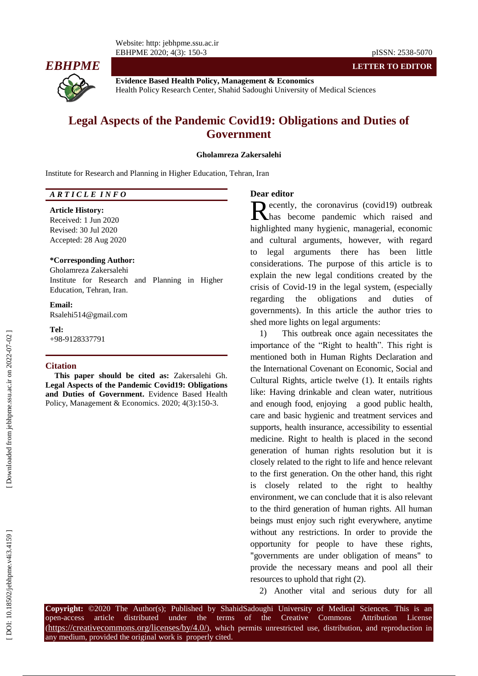

**Evidence Based Health Policy, Management & Economics** Health Policy Research Center, Shahid Sadoughi University of Medical Sciences

# **Legal Aspects of the Pandemic Covid19: Obligations and Duties of Government**

#### **Gholamreza Zakersalehi**

Institute for Research and Planning in Higher Education, Tehran, Iran

## *A R T I C L E I N F O*

**Article History:** Received: 1 Jun 2020 Revised: 30 Jul 2020 Accepted: 28 Aug 2020

## **\*Corresponding Author:**

Gholamreza Zakersalehi Institute for Research and Planning in Higher Education, Tehran, Iran .

**Email:**

Rsalehi514@gmail.com

**Tel:** +98 -9128337791

## **Citation**

**This paper should be cited as:** Zakersalehi Gh . **Legal Aspects of the Pandemic Covid19: Obligations and Duties of Government .** Evidence Based Health Policy, Management & Economics. 2020; 4(3):150-3.

#### **Dear editor**

ecently, the coronavirus (covid19) outbreak Thas become pandemic which raised and highlighted many hygienic, managerial, economic and cultural arguments, however, with regard to legal arguments there has been little considerations. The purpose of this article is to explain the new legal conditions created by the crisis of Covid -19 in the legal system, (especially regarding the obligations and duties of governments). In this article the author tries to shed more lights on legal arguments:

1) This outbreak once again necessitates the importance of the "Right to health". This right is mentioned both in Human Rights Declaration and the International Covenant on Economic, Social and Cultural Rights, article twelve ( 1 ) . It entails rights like: Having drinkable and clean water, nutritious and enough food, enjoying a good public health, care and basic hygienic and treatment services and supports, health insurance, accessibility to essential medicine. Right to health is placed in the second generation of human rights resolution but it is closely related to the right to life and hence relevant to the first generation. On the other hand, this right is closely related to the right to healthy environment, we can conclude that it is also relevant to the third generation of human rights. All human beings must enjoy such right everywhere, anytime without any restrictions. In order to provide the opportunity for people to have these rights, "governments are under obligation of means" to provide the necessary means and pool all their resources to uphold that right (2). **EXECUTE:** The coronavirus (covid19) outbreak<br> **Man** highlighted many hygienic, managrial, coconomic<br>
and cultural arguments, however, with regard<br>
and cultural arguments, however, with regard<br>
to legal arguments there has

**Copyright:** ©2020 The Author(s); Published by ShahidSadoughi University of Medical Sciences. This is an open-access -access article distributed under the terms of the Creative Commons Attribution License (https://creativecommons.org/licenses/by/4.0/), which permits unrestricted use, distribution, and reproduction in any medium, provided the original work is properly cited.

**LETTER TO EDITOR**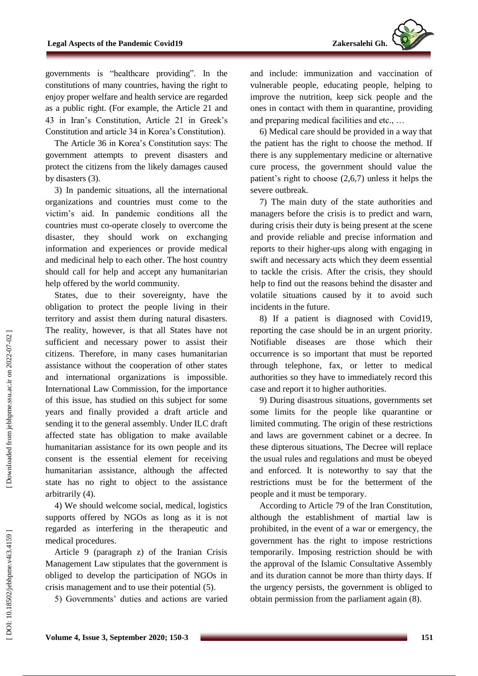governments is "healthcare providing". In the constitutions of many countries, having the right to enjoy proper welfare and health service are regarded as a public right. (For example, the Article 21 and 43 in Iran's Constitution, Article 21 in Greek's Constitution and article 34 in Korea's Constitution).

The Article 3 6 in Korea's Constitution says: The government attempts to prevent disasters and protect the citizens from the likely damages caused by disasters (3).

3) In pand emic situations, all the international organizations and countries must come to the victim's aid. In pandemic conditions all the countries must co -operate closely to overcome the disaster, they should work on exchanging information and experiences or provide medical and medicinal help to each other. The host country should call for help and accept any humanitarian help offered by the world community.

States, due to their sovereignty, have the obligation to protect the people living in their territory and assist them during natural disasters. The reality, however, is that all States have not sufficient and necessary power to assist their citizens. Therefore, in many cases humanitarian assistance without the cooperation of other states and international organizations is impossible. International Law Commission, for the importance of this issue, has studied on this subject for some years and finally provided a draft article and sending it to the general assembly. Under ILC draft affected state has obligation to make available humanitarian assistance for its own people and its consent is the essential element for receiving humanitarian assistance, although the affected state has no right to object to the assistance arbitrarily (4) .

4) We should welcome social, medical, logistics supports offered by NGOs as long as it is not regarded as interfering in the therapeutic and medical procedures .

Article 9 (paragraph z) of the Iranian Crisis Management Law stipulates that the government is obliged to develop the participation of NGOs in crisis management and to use their potential (5) .

5) Governments' duties and actions are varied

and include: immunization and vaccination of vulnerable people, educating people, helping to improve the nutrition, keep sick people and the ones in contact with them in quarantine, providing and preparing medical facilities and etc., …

6) Medical care should be provided in a way that the patient has the right to choose the method. If there is any supplementary medicine or alternative cure process, the government should value the patient's right to choose (2,6,7 ) unless it helps the severe outbreak.

7) The main duty of the state authorities and managers before the crisis is to predict and warn, during crisis their duty is being present at the scene and provide reliable and precise information and reports to their higher -ups along with engaging in swift and necessary acts which they deem essential to tackle the crisis. After the crisis, they should help to find out the reasons behind the disaster and volatile situations caused by it to avoid such incidents in the future.

8) If a patient is diagnosed with Covid19, reporting the case should be in an urgent priority. Notifiable diseases are those which their occurrence is so important that must be reported through telephone, fax, or letter to medical authorities so they have to immediately record this case and report it to higher authorities.

9) During disastrous situations, governments set some limits for the people like quarantine or limited commuting. The origin of these restrictions and laws are government cabinet or a decree. In these dipterous situations, The Decree will replace the usual rules and regulations and must be obeyed and enforced. It is noteworthy to say that the restrictions must be for the betterment of the people and it must be temporary.

According to Article 79 of the Iran Constitution, although the establishment of martial law is prohibited, in the event of a war or emergency, the government has the right to impose restrictions temporarily. Imposing restriction should be with the approval of the Islamic Consultative Assembly and its duration cannot be more than thirty days. If the urgency persists, the government is obliged to obtain permission from the parliament again (8).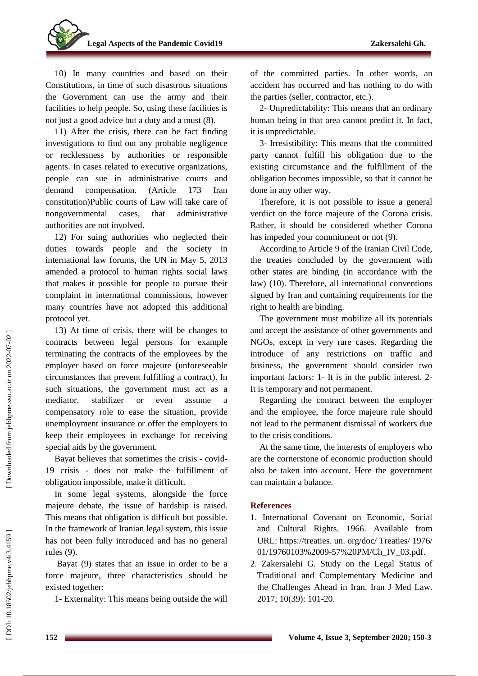10) In many countries and based on their Constitutions, in time of such disastrous situations the Government can use the army and their facilities to help people. So, using these facilities is not just a good advice but a duty and a must (8) .

11) After the crisis, there can be fact finding investigations to find out any probable negligence or recklessness by authorities or responsible agents. In cases related to executive organizations, people can sue in administrative courts and demand compensation. (Article 173 Iran constitution)Public courts of Law will take care of nongovernmental cases, that administrative authorities are not involved.

12) For suing authorities who neglected their duties towards people and the society in international law forums, the UN in May 5, 2013 amended a protocol to human rights social laws that makes it possible for people to pursue their complaint in international commissions, however many countries have not adopted this additional protocol yet .

13) At time of crisis, there will be changes to contracts between legal persons for example terminating the contracts of the employees by the employer based on force majeure (unforeseeable circumstances that prevent fulfilling a contract). In such situations, the government must act as a mediator, stabilizer or even assume a compensatory role to ease the situation, provide unemployment insurance or offer the employers to keep their employees in exchange for receiving special aids by the government.

Bayat believes that sometimes the crisis - covid-19 crisis - does not make the fulfillment of obligation impossible, make it difficult.

In some legal systems, alongside the force majeure debate, the issue of hardship is raised. This means that obligation is difficult but possible. In the framework of Iranian legal system, this issue has not been fully introduced and has no general rules (9) .

Bayat (9) states that an issue in order to be a force majeure, three characteristics should be existed together:

1- Externality: This means being outside the will

of the committed parties. In other words, an accident has occurred and has nothing to do with the parties (seller, contractor, etc.).

2- Unpredictability: This means that an ordinary human being in that area cannot predict it. In fact, it is unpredictable.

3- Irresistibility: This means that the committed party cannot fulfill his obligation due to the existing circumstance and the fulfillment of the obligation becomes impossible, so that it cannot be done in any other way.

Therefore, it is not possible to issue a general verdict on the force majeure of the Corona crisis. Rather, it should be considered whether Corona has impeded your commitment or not (9).

According to Article 9 of the Iranian Civil Code, the treaties concluded by the government with other states are binding (in accordance with the law) (10 ). Therefore, all international conventions signed by Iran and containing requirements for the right to health are binding.

The government must mobilize all its potentials and accept the assistance of other governments and NGOs, except in very rare cases. Regarding the introduce of any restrictions on traffic and business, the government should consider two important factors: 1- It is in the public interest. 2-It is temporary and not permanent.

Regarding the contract between the employer and the employee, the force majeure rule should not lead to the permanent dismissal of workers due to the crisis conditions.

At the same time, the interests of employers who are the cornerstone of economic production should also be taken into account. Here the government can maintain a balance.

# **References**

- 1. International Covenant on Economic, Social and Cultural Rights. 1966. Available from URL : https://treaties. un . org/doc/ Treaties/ 1976/ 01/19760103%2009-57%20PM/Ch\_IV\_03.pdf.
- 2 . Zakersalehi G. Study on the Legal Status of Traditional and Complementary Medicine and the Challenges Ahead in Iran. Iran J Med Law . 2017; 10(39): 101 -20.

DOI: 10.18502/jebhpme.v4i3.4159